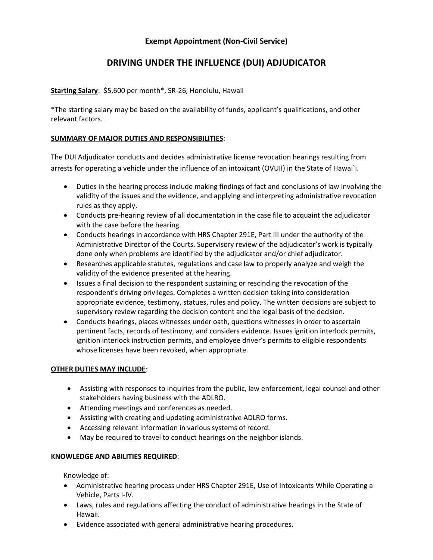# **Exempt Appointment (Non-Civil Service)**

# **DRIVING UNDER THE INFLUENCE (DUI) ADJUDICATOR**

## **Starting Salary**: \$5,600 per month\*, SR-26, Honolulu, Hawaii

\*The starting salary may be based on the availability of funds, applicant's qualifications, and other relevant factors.

### **SUMMARY OF MAJOR DUTIES AND RESPONSIBILITIES**:

The DUI Adjudicator conducts and decides administrative license revocation hearings resulting from arrests for operating a vehicle under the influence of an intoxicant (OVUII) in the State of Hawai`i.

- Duties in the hearing process include making findings of fact and conclusions of law involving the validity of the issues and the evidence, and applying and interpreting administrative revocation rules as they apply.
- Conducts pre-hearing review of all documentation in the case file to acquaint the adjudicator with the case before the hearing.
- Conducts hearings in accordance with HRS Chapter 291E, Part III under the authority of the Administrative Director of the Courts. Supervisory review of the adjudicator's work is typically done only when problems are identified by the adjudicator and/or chief adjudicator.
- Researches applicable statutes, regulations and case law to properly analyze and weigh the validity of the evidence presented at the hearing.
- Issues a final decision to the respondent sustaining or rescinding the revocation of the respondent's driving privileges. Completes a written decision taking into consideration appropriate evidence, testimony, statues, rules and policy. The written decisions are subject to supervisory review regarding the decision content and the legal basis of the decision.
- Conducts hearings, places witnesses under oath, questions witnesses in order to ascertain pertinent facts, records of testimony, and considers evidence. Issues ignition interlock permits, ignition interlock instruction permits, and employee driver's permits to eligible respondents whose licenses have been revoked, when appropriate.

#### **OTHER DUTIES MAY INCLUDE**:

- Assisting with responses to inquiries from the public, law enforcement, legal counsel and other stakeholders having business with the ADLRO.
- Attending meetings and conferences as needed.
- Assisting with creating and updating administrative ADLRO forms.
- Accessing relevant information in various systems of record.
- May be required to travel to conduct hearings on the neighbor islands.

#### **KNOWLEDGE AND ABILITIES REQUIRED**:

Knowledge of:

- Administrative hearing process under HRS Chapter 291E, Use of Intoxicants While Operating a Vehicle, Parts I-IV.
- Laws, rules and regulations affecting the conduct of administrative hearings in the State of Hawaii.
- Evidence associated with general administrative hearing procedures.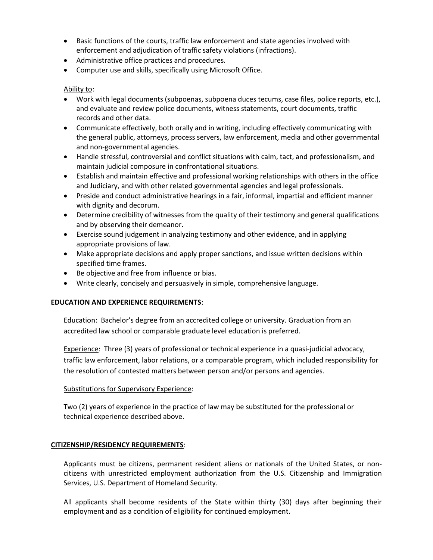- Basic functions of the courts, traffic law enforcement and state agencies involved with enforcement and adjudication of traffic safety violations (infractions).
- Administrative office practices and procedures.
- Computer use and skills, specifically using Microsoft Office.

### Ability to:

- Work with legal documents (subpoenas, subpoena duces tecums, case files, police reports, etc.), and evaluate and review police documents, witness statements, court documents, traffic records and other data.
- Communicate effectively, both orally and in writing, including effectively communicating with the general public, attorneys, process servers, law enforcement, media and other governmental and non-governmental agencies.
- Handle stressful, controversial and conflict situations with calm, tact, and professionalism, and maintain judicial composure in confrontational situations.
- Establish and maintain effective and professional working relationships with others in the office and Judiciary, and with other related governmental agencies and legal professionals.
- Preside and conduct administrative hearings in a fair, informal, impartial and efficient manner with dignity and decorum.
- Determine credibility of witnesses from the quality of their testimony and general qualifications and by observing their demeanor.
- Exercise sound judgement in analyzing testimony and other evidence, and in applying appropriate provisions of law.
- Make appropriate decisions and apply proper sanctions, and issue written decisions within specified time frames.
- Be objective and free from influence or bias.
- Write clearly, concisely and persuasively in simple, comprehensive language.

#### **EDUCATION AND EXPERIENCE REQUIREMENTS**:

Education: Bachelor's degree from an accredited college or university. Graduation from an accredited law school or comparable graduate level education is preferred.

Experience: Three (3) years of professional or technical experience in a quasi-judicial advocacy, traffic law enforcement, labor relations, or a comparable program, which included responsibility for the resolution of contested matters between person and/or persons and agencies.

#### Substitutions for Supervisory Experience:

Two (2) years of experience in the practice of law may be substituted for the professional or technical experience described above.

#### **CITIZENSHIP/RESIDENCY REQUIREMENTS**:

Applicants must be citizens, permanent resident aliens or nationals of the United States, or noncitizens with unrestricted employment authorization from the U.S. Citizenship and Immigration Services, U.S. Department of Homeland Security.

All applicants shall become residents of the State within thirty (30) days after beginning their employment and as a condition of eligibility for continued employment.